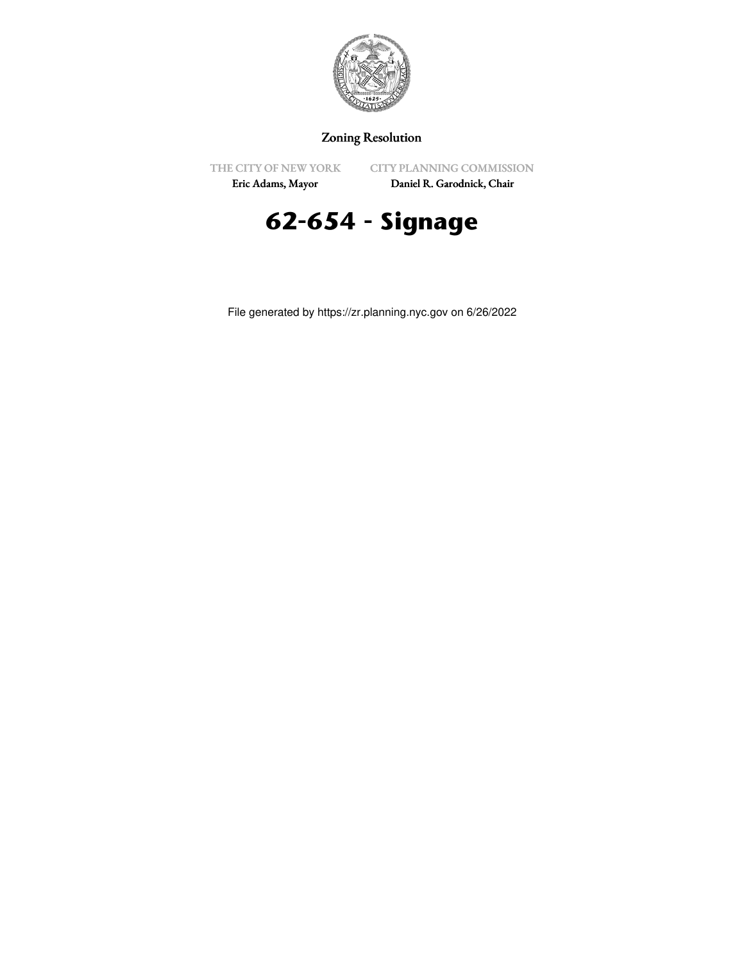

## Zoning Resolution

THE CITY OF NEW YORK

CITY PLANNING COMMISSION

Eric Adams, Mayor

Daniel R. Garodnick, Chair

## **62-654 - Signage**

File generated by https://zr.planning.nyc.gov on 6/26/2022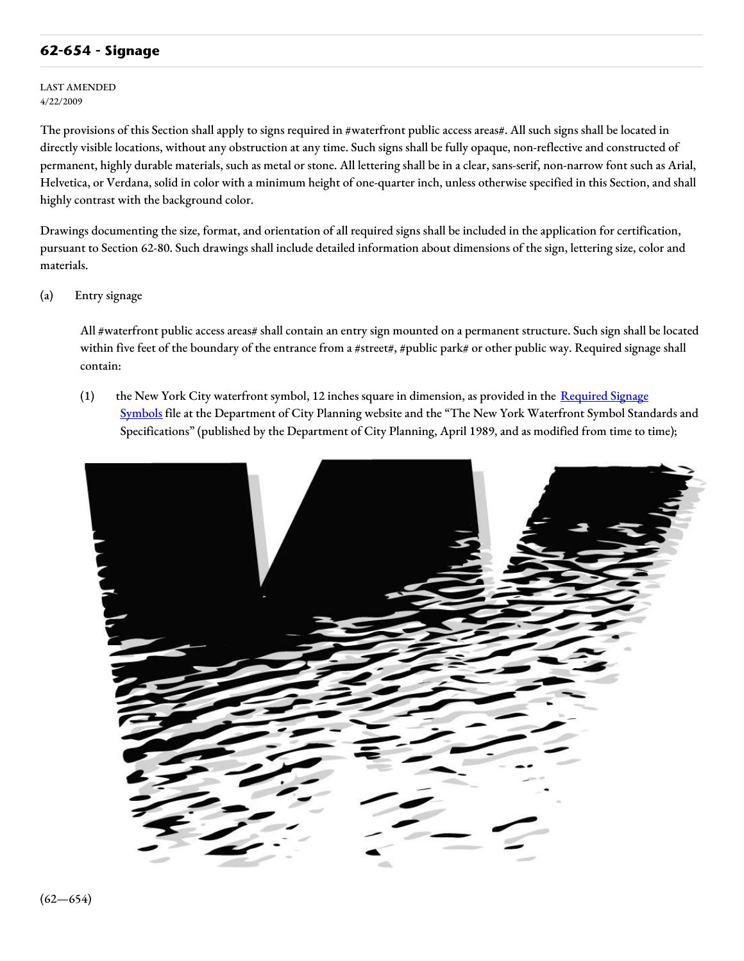## **62-654 - Signage**

LAST AMENDED 4/22/2009

The provisions of this Section shall apply to signs required in #waterfront public access areas#. All such signs shall be located in directly visible locations, without any obstruction at any time. Such signs shall be fully opaque, non-reflective and constructed of permanent, highly durable materials, such as metal or stone. All lettering shall be in a clear, sans-serif, non-narrow font such as Arial, Helvetica, or Verdana, solid in color with a minimum height of one-quarter inch, unless otherwise specified in this Section, and shall highly contrast with the background color.

Drawings documenting the size, format, and orientation of all required signs shall be included in the application for certification, pursuant to Section 62-80. Such drawings shall include detailed information about dimensions of the sign, lettering size, color and materials.

(a) Entry signage

All #waterfront public access areas# shall contain an entry sign mounted on a permanent structure. Such sign shall be located within five feet of the boundary of the entrance from a #street#, #public park# or other public way. Required signage shall contain:

(1) the New York City waterfront symbol, 12 inches square in dimension, as provided in the Required Signage Symbols file at the [Department](http://www1.nyc.gov/site/planning/zoning/graphic-files.page) of City Planning website and the "The New York Waterfront Symbol Standards and Specifications" (published by the Department of City Planning, April 1989, and as modified from time to time);

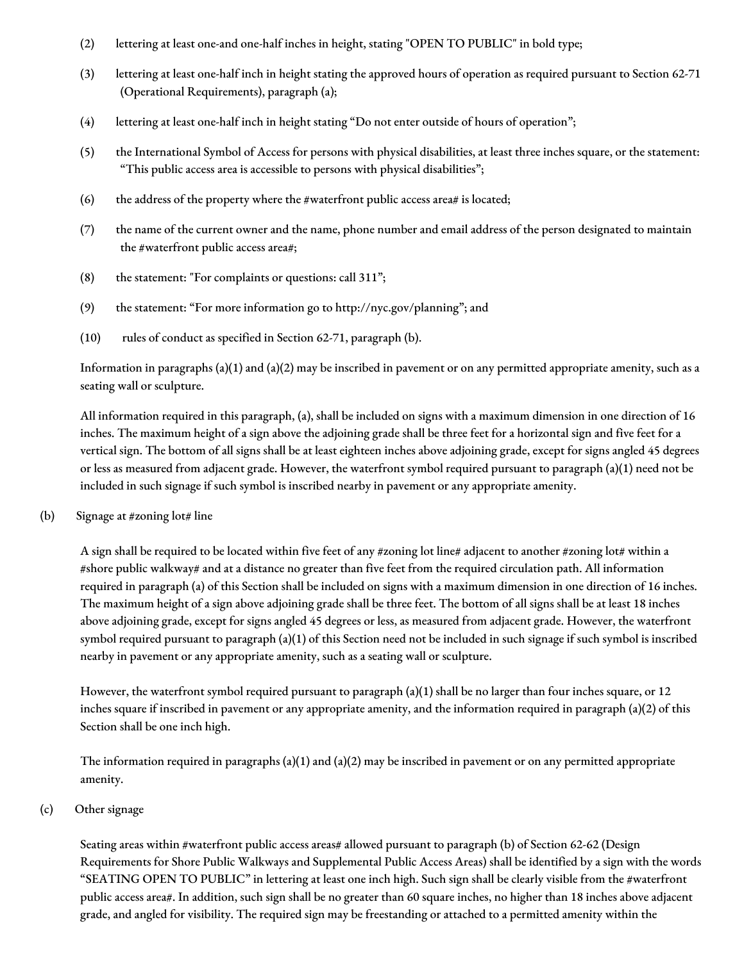- (2) lettering at least one-and one-half inches in height, stating "OPEN TO PUBLIC" in bold type;
- (3) lettering at least one-half inch in height stating the approved hours of operation as required pursuant to Section 62-71 (Operational Requirements), paragraph (a);
- (4) lettering at least one-half inch in height stating "Do not enter outside of hours of operation";
- (5) the International Symbol of Access for persons with physical disabilities, at least three inches square, or the statement: "This public access area is accessible to persons with physical disabilities";
- (6) the address of the property where the #waterfront public access area# is located;
- (7) the name of the current owner and the name, phone number and email address of the person designated to maintain the #waterfront public access area#;
- (8) the statement: "For complaints or questions: call 311";
- (9) the statement: "For more information go to http://nyc.gov/planning"; and
- (10) rules of conduct as specified in Section 62-71, paragraph (b).

Information in paragraphs  $(a)(1)$  and  $(a)(2)$  may be inscribed in pavement or on any permitted appropriate amenity, such as a seating wall or sculpture.

All information required in this paragraph, (a), shall be included on signs with a maximum dimension in one direction of 16 inches. The maximum height of a sign above the adjoining grade shall be three feet for a horizontal sign and five feet for a vertical sign. The bottom of all signs shall be at least eighteen inches above adjoining grade, except for signs angled 45 degrees or less as measured from adjacent grade. However, the waterfront symbol required pursuant to paragraph (a)(1) need not be included in such signage if such symbol is inscribed nearby in pavement or any appropriate amenity.

(b) Signage at #zoning  $\text{lot# line}$ 

A sign shall be required to be located within five feet of any #zoning lot line# adjacent to another #zoning lot# within a #shore public walkway# and at a distance no greater than five feet from the required circulation path. All information required in paragraph (a) of this Section shall be included on signs with a maximum dimension in one direction of 16 inches. The maximum height of a sign above adjoining grade shall be three feet. The bottom of all signs shall be at least 18 inches above adjoining grade, except for signs angled 45 degrees or less, as measured from adjacent grade. However, the waterfront symbol required pursuant to paragraph (a)(1) of this Section need not be included in such signage if such symbol is inscribed nearby in pavement or any appropriate amenity, such as a seating wall or sculpture.

However, the waterfront symbol required pursuant to paragraph (a)(1) shall be no larger than four inches square, or 12 inches square if inscribed in pavement or any appropriate amenity, and the information required in paragraph (a)(2) of this Section shall be one inch high.

The information required in paragraphs (a)(1) and (a)(2) may be inscribed in pavement or on any permitted appropriate amenity.

## (c) Other signage

Seating areas within #waterfront public access areas# allowed pursuant to paragraph (b) of Section 62-62 (Design Requirements for Shore Public Walkways and Supplemental Public Access Areas) shall be identified by a sign with the words "SEATING OPEN TO PUBLIC" in lettering at least one inch high. Such sign shall be clearly visible from the #waterfront public access area#. In addition, such sign shall be no greater than 60 square inches, no higher than 18 inches above adjacent grade, and angled for visibility. The required sign may be freestanding or attached to a permitted amenity within the